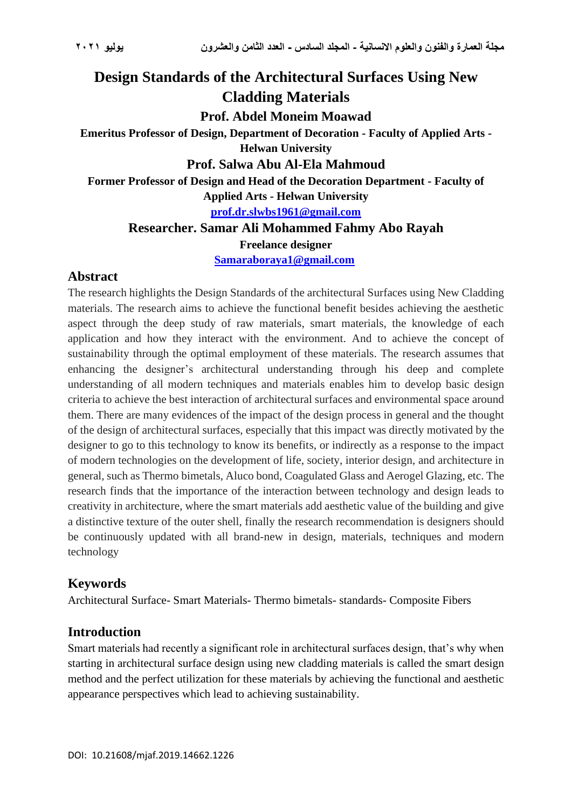# **Design Standards of the Architectural Surfaces Using New Cladding Materials**

**Prof. Abdel Moneim Moawad**

**Emeritus Professor of Design, Department of Decoration - Faculty of Applied Arts - Helwan University**

**Prof. Salwa Abu Al-Ela Mahmoud**

**Former Professor of Design and Head of the Decoration Department - Faculty of Applied Arts - Helwan University**

**[prof.dr.slwbs1961@gmail.com](mailto:prof.dr.slwbs1961@gmail.com)**

**Researcher. Samar Ali Mohammed Fahmy Abo Rayah**

**Freelance designer**

**[Samaraboraya1@gmail.com](mailto:Samaraboraya1@gmail.com)**

#### **Abstract**

The research highlights the Design Standards of the architectural Surfaces using New Cladding materials. The research aims to achieve the functional benefit besides achieving the aesthetic aspect through the deep study of raw materials, smart materials, the knowledge of each application and how they interact with the environment. And to achieve the concept of sustainability through the optimal employment of these materials. The research assumes that enhancing the designer's architectural understanding through his deep and complete understanding of all modern techniques and materials enables him to develop basic design criteria to achieve the best interaction of architectural surfaces and environmental space around them. There are many evidences of the impact of the design process in general and the thought of the design of architectural surfaces, especially that this impact was directly motivated by the designer to go to this technology to know its benefits, or indirectly as a response to the impact of modern technologies on the development of life, society, interior design, and architecture in general, such as Thermo bimetals, Aluco bond, Coagulated Glass and Aerogel Glazing, etc. The research finds that the importance of the interaction between technology and design leads to creativity in architecture, where the smart materials add aesthetic value of the building and give a distinctive texture of the outer shell, finally the research recommendation is designers should be continuously updated with all brand-new in design, materials, techniques and modern technology

#### **Keywords**

Architectural Surface- Smart Materials- Thermo bimetals- standards- Composite Fibers

#### **Introduction**

Smart materials had recently a significant role in architectural surfaces design, that's why when starting in architectural surface design using new cladding materials is called the smart design method and the perfect utilization for these materials by achieving the functional and aesthetic appearance perspectives which lead to achieving sustainability.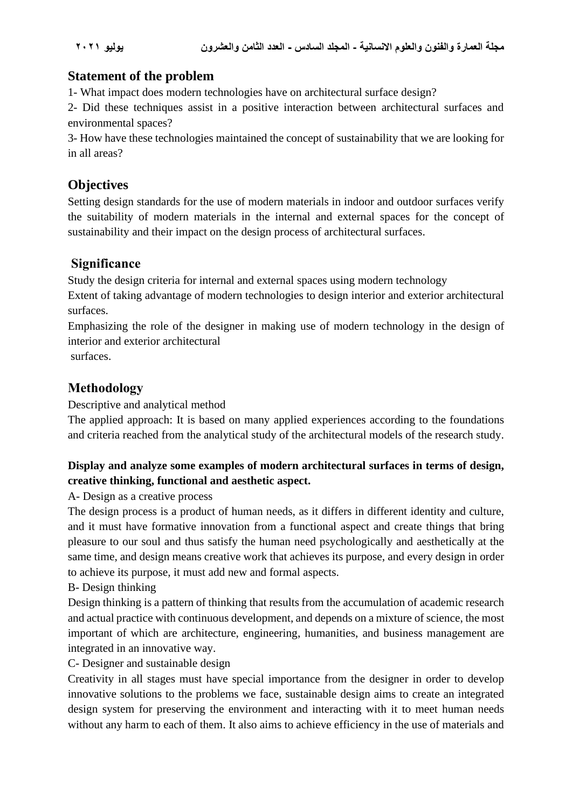#### **Statement of the problem**

1- What impact does modern technologies have on architectural surface design?

2- Did these techniques assist in a positive interaction between architectural surfaces and environmental spaces?

3- How have these technologies maintained the concept of sustainability that we are looking for in all areas?

### **Objectives**

Setting design standards for the use of modern materials in indoor and outdoor surfaces verify the suitability of modern materials in the internal and external spaces for the concept of sustainability and their impact on the design process of architectural surfaces.

#### **Significance**

Study the design criteria for internal and external spaces using modern technology

Extent of taking advantage of modern technologies to design interior and exterior architectural surfaces.

Emphasizing the role of the designer in making use of modern technology in the design of interior and exterior architectural

surfaces.

## **Methodology**

Descriptive and analytical method

The applied approach: It is based on many applied experiences according to the foundations and criteria reached from the analytical study of the architectural models of the research study.

#### **Display and analyze some examples of modern architectural surfaces in terms of design, creative thinking, functional and aesthetic aspect.**

A- Design as a creative process

The design process is a product of human needs, as it differs in different identity and culture, and it must have formative innovation from a functional aspect and create things that bring pleasure to our soul and thus satisfy the human need psychologically and aesthetically at the same time, and design means creative work that achieves its purpose, and every design in order to achieve its purpose, it must add new and formal aspects.

B- Design thinking

Design thinking is a pattern of thinking that results from the accumulation of academic research and actual practice with continuous development, and depends on a mixture of science, the most important of which are architecture, engineering, humanities, and business management are integrated in an innovative way.

C- Designer and sustainable design

Creativity in all stages must have special importance from the designer in order to develop innovative solutions to the problems we face, sustainable design aims to create an integrated design system for preserving the environment and interacting with it to meet human needs without any harm to each of them. It also aims to achieve efficiency in the use of materials and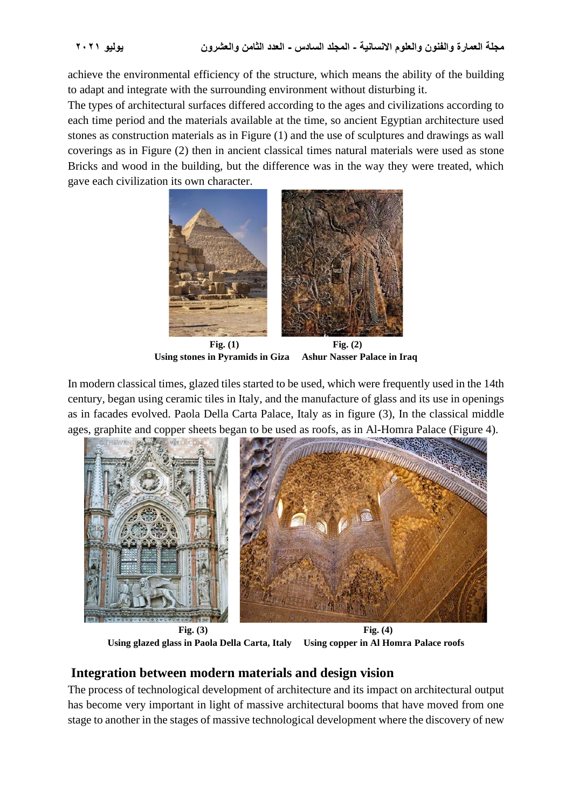achieve the environmental efficiency of the structure, which means the ability of the building to adapt and integrate with the surrounding environment without disturbing it.

The types of architectural surfaces differed according to the ages and civilizations according to each time period and the materials available at the time, so ancient Egyptian architecture used stones as construction materials as in Figure (1) and the use of sculptures and drawings as wall coverings as in Figure (2) then in ancient classical times natural materials were used as stone Bricks and wood in the building, but the difference was in the way they were treated, which gave each civilization its own character.



**Using stones in Pyramids in Giza Ashur Nasser Palace in Iraq**

In modern classical times, glazed tiles started to be used, which were frequently used in the 14th century, began using ceramic tiles in Italy, and the manufacture of glass and its use in openings as in facades evolved. Paola Della Carta Palace, Italy as in figure (3), In the classical middle ages, graphite and copper sheets began to be used as roofs, as in Al-Homra Palace (Figure 4).



Fig. (3) Fig. (4) **Using glazed glass in Paola Della Carta, Italy Using copper in Al Homra Palace roofs**

## **Integration between modern materials and design vision**

The process of technological development of architecture and its impact on architectural output has become very important in light of massive architectural booms that have moved from one stage to another in the stages of massive technological development where the discovery of new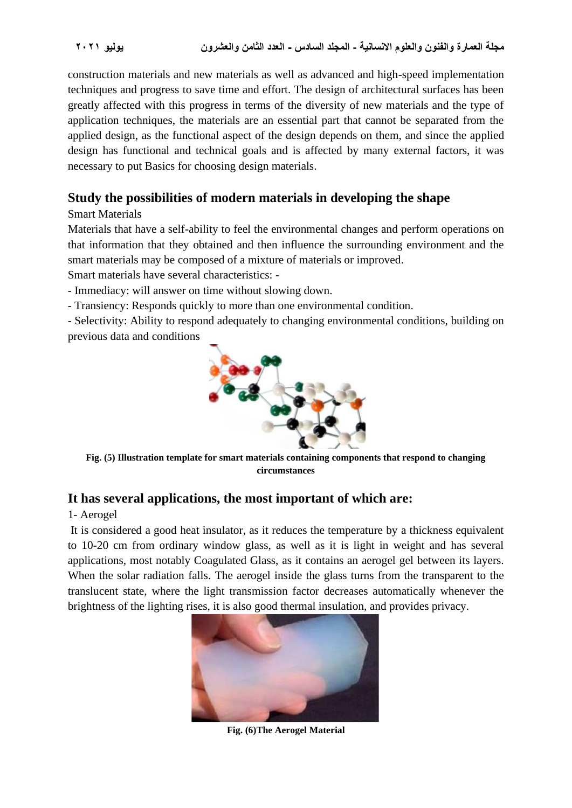construction materials and new materials as well as advanced and high-speed implementation techniques and progress to save time and effort. The design of architectural surfaces has been greatly affected with this progress in terms of the diversity of new materials and the type of application techniques, the materials are an essential part that cannot be separated from the applied design, as the functional aspect of the design depends on them, and since the applied design has functional and technical goals and is affected by many external factors, it was necessary to put Basics for choosing design materials.

## **Study the possibilities of modern materials in developing the shape**

Smart Materials

Materials that have a self-ability to feel the environmental changes and perform operations on that information that they obtained and then influence the surrounding environment and the smart materials may be composed of a mixture of materials or improved.

Smart materials have several characteristics: -

- Immediacy: will answer on time without slowing down.

- Transiency: Responds quickly to more than one environmental condition.

- Selectivity: Ability to respond adequately to changing environmental conditions, building on previous data and conditions



**Fig. (5) Illustration template for smart materials containing components that respond to changing circumstances**

## **It has several applications, the most important of which are:**

1- Aerogel

It is considered a good heat insulator, as it reduces the temperature by a thickness equivalent to 10-20 cm from ordinary window glass, as well as it is light in weight and has several applications, most notably Coagulated Glass, as it contains an aerogel gel between its layers. When the solar radiation falls. The aerogel inside the glass turns from the transparent to the translucent state, where the light transmission factor decreases automatically whenever the brightness of the lighting rises, it is also good thermal insulation, and provides privacy.



**Fig. (6)The Aerogel Material**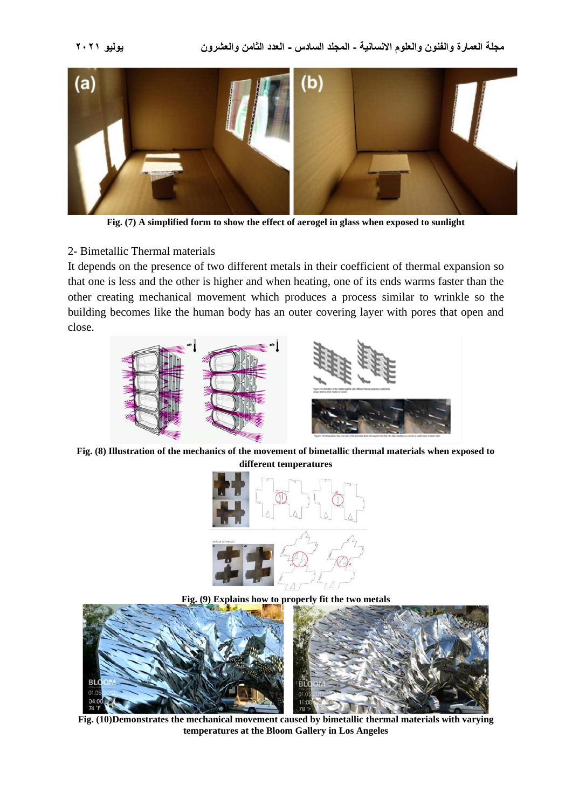

**Fig. (7) A simplified form to show the effect of aerogel in glass when exposed to sunlight**

#### 2- Bimetallic Thermal materials

It depends on the presence of two different metals in their coefficient of thermal expansion so that one is less and the other is higher and when heating, one of its ends warms faster than the other creating mechanical movement which produces a process similar to wrinkle so the building becomes like the human body has an outer covering layer with pores that open and close.



**Fig. (8) Illustration of the mechanics of the movement of bimetallic thermal materials when exposed to different temperatures**



**Fig. (9) Explains how to properly fit the two metals**



**Fig. (10)Demonstrates the mechanical movement caused by bimetallic thermal materials with varying temperatures at the Bloom Gallery in Los Angeles**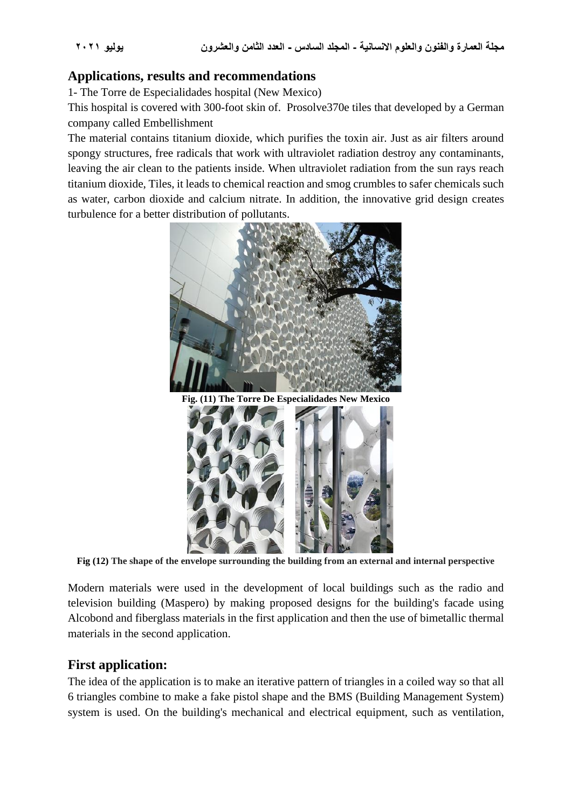## **Applications, results and recommendations**

1- The Torre de Especialidades hospital (New Mexico)

This hospital is covered with 300-foot skin of. Prosolve370e tiles that developed by a German company called Embellishment

The material contains titanium dioxide, which purifies the toxin air. Just as air filters around spongy structures, free radicals that work with ultraviolet radiation destroy any contaminants, leaving the air clean to the patients inside. When ultraviolet radiation from the sun rays reach titanium dioxide, Tiles, it leads to chemical reaction and smog crumbles to safer chemicals such as water, carbon dioxide and calcium nitrate. In addition, the innovative grid design creates turbulence for a better distribution of pollutants.





**Fig (12) The shape of the envelope surrounding the building from an external and internal perspective**

Modern materials were used in the development of local buildings such as the radio and television building (Maspero) by making proposed designs for the building's facade using Alcobond and fiberglass materials in the first application and then the use of bimetallic thermal materials in the second application.

## **First application:**

The idea of the application is to make an iterative pattern of triangles in a coiled way so that all 6 triangles combine to make a fake pistol shape and the BMS (Building Management System) system is used. On the building's mechanical and electrical equipment, such as ventilation,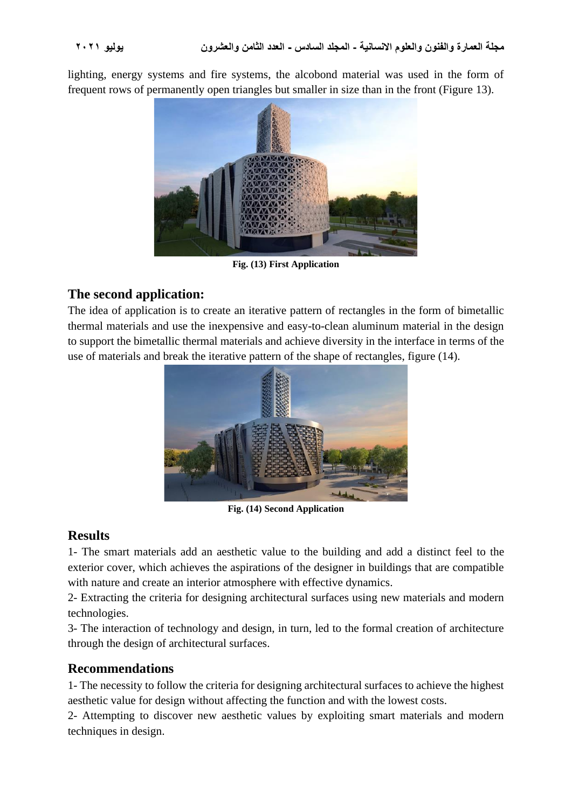lighting, energy systems and fire systems, the alcobond material was used in the form of frequent rows of permanently open triangles but smaller in size than in the front (Figure 13).



**Fig. (13) First Application**

## **The second application:**

The idea of application is to create an iterative pattern of rectangles in the form of bimetallic thermal materials and use the inexpensive and easy-to-clean aluminum material in the design to support the bimetallic thermal materials and achieve diversity in the interface in terms of the use of materials and break the iterative pattern of the shape of rectangles, figure (14).



**Fig. (14) Second Application**

## **Results**

1- The smart materials add an aesthetic value to the building and add a distinct feel to the exterior cover, which achieves the aspirations of the designer in buildings that are compatible with nature and create an interior atmosphere with effective dynamics.

2- Extracting the criteria for designing architectural surfaces using new materials and modern technologies.

3- The interaction of technology and design, in turn, led to the formal creation of architecture through the design of architectural surfaces.

## **Recommendations**

1- The necessity to follow the criteria for designing architectural surfaces to achieve the highest aesthetic value for design without affecting the function and with the lowest costs.

2- Attempting to discover new aesthetic values by exploiting smart materials and modern techniques in design.